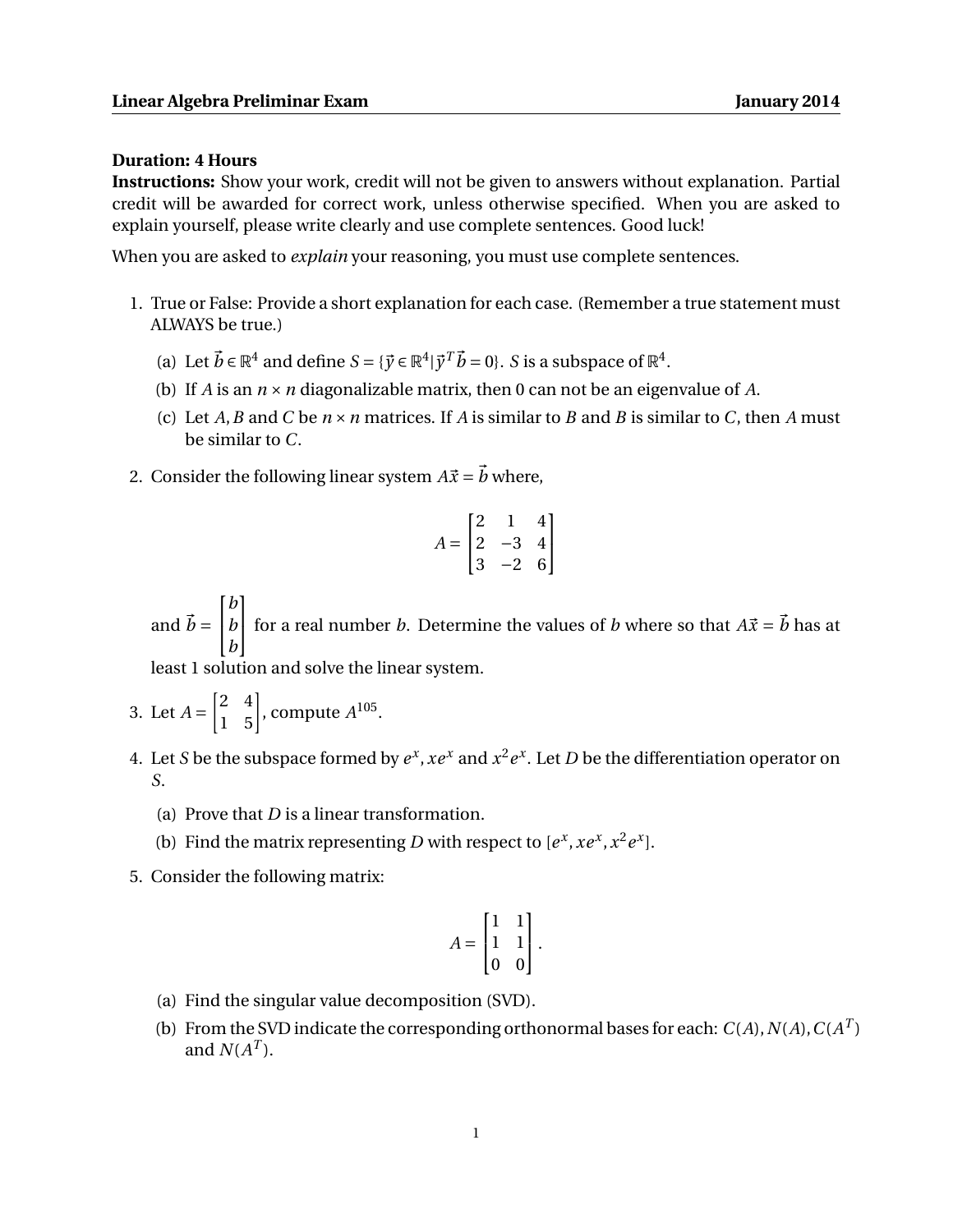## **Duration: 4 Hours**

**Instructions:** Show your work, credit will not be given to answers without explanation. Partial credit will be awarded for correct work, unless otherwise specified. When you are asked to explain yourself, please write clearly and use complete sentences. Good luck!

When you are asked to *explain* your reasoning, you must use complete sentences.

- 1. True or False: Provide a short explanation for each case. (Remember a true statement must ALWAYS be true.)
	- (a) Let  $\vec{b} \in \mathbb{R}^4$  and define  $S = {\{\vec{y} \in \mathbb{R}^4 \mid \vec{y}^T \vec{b} = 0\}}$ . *S* is a subspace of  $\mathbb{R}^4$ .
	- (b) If *A* is an  $n \times n$  diagonalizable matrix, then 0 can not be an eigenvalue of *A*.
	- (c) Let *A*, *B* and *C* be  $n \times n$  matrices. If *A* is similar to *B* and *B* is similar to *C*, then *A* must be similar to *C*.
- 2. Consider the following linear system  $A\vec{x} = \vec{b}$  where,

$$
A = \begin{bmatrix} 2 & 1 & 4 \\ 2 & -3 & 4 \\ 3 & -2 & 6 \end{bmatrix}
$$

and  $\vec{b} =$  $\sqrt{ }$  $\overline{1}$ *b b b* 1 for a real number *b*. Determine the values of *b* where so that  $A\vec{x} = \vec{b}$  has at

least 1 solution and solve the linear system.

- 3. Let  $A = \begin{bmatrix} 2 & 4 \\ 1 & 5 \end{bmatrix}$ , compute  $A^{105}$ .
- 4. Let *S* be the subspace formed by  $e^x$ ,  $xe^x$  and  $x^2e^x$ . Let *D* be the differentiation operator on *S*.
	- (a) Prove that *D* is a linear transformation.
	- (b) Find the matrix representing *D* with respect to  $[e^x, xe^x, x^2e^x]$ .
- 5. Consider the following matrix:

$$
A = \begin{bmatrix} 1 & 1 \\ 1 & 1 \\ 0 & 0 \end{bmatrix}.
$$

- (a) Find the singular value decomposition (SVD).
- (b) From the SVD indicate the corresponding orthonormal bases for each:  $C(A)$ ,  $N(A)$ ,  $C(A^T)$ and  $N(A^T)$ .